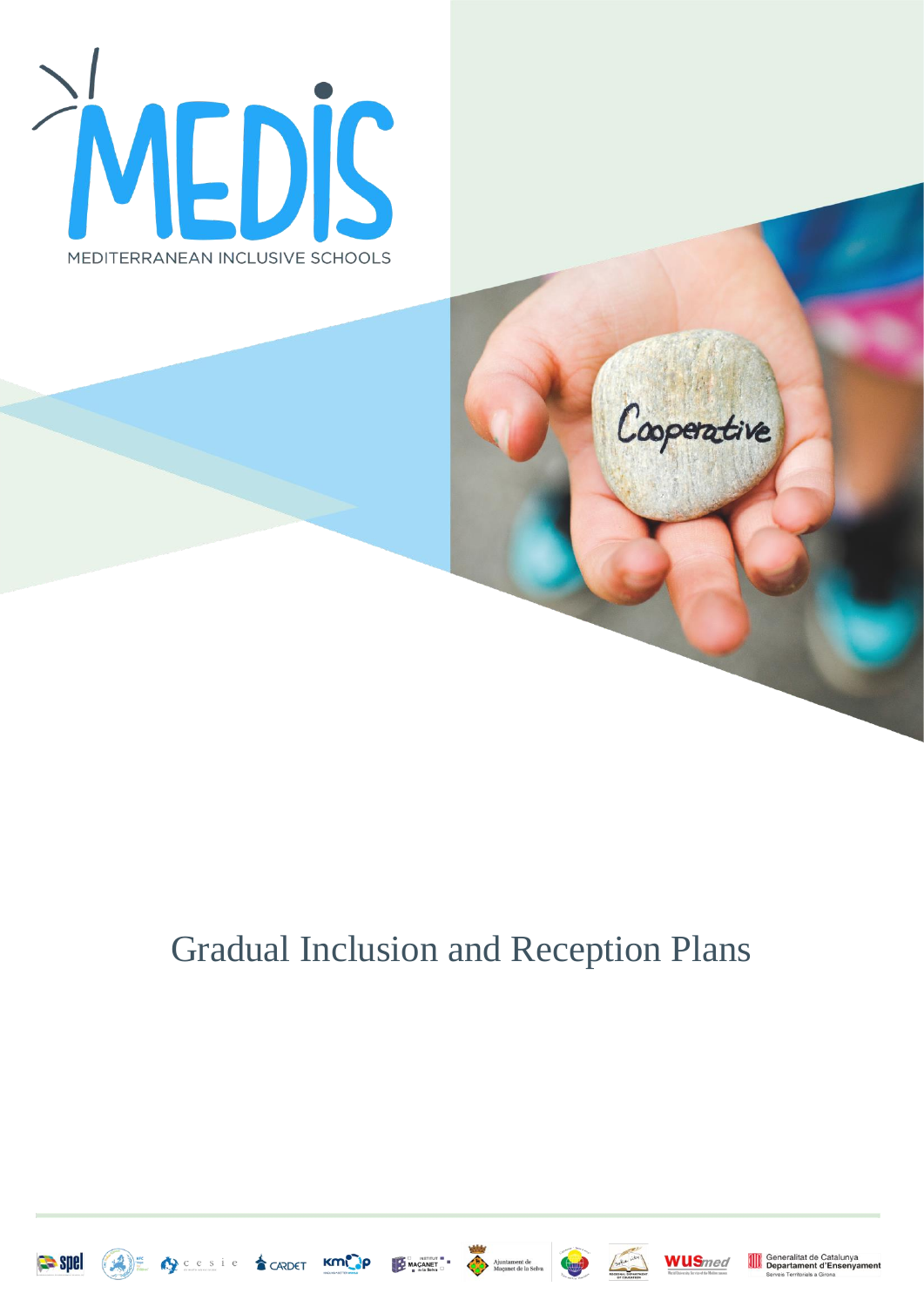

# Gradual Inclusion and Reception Plans











Cooperative

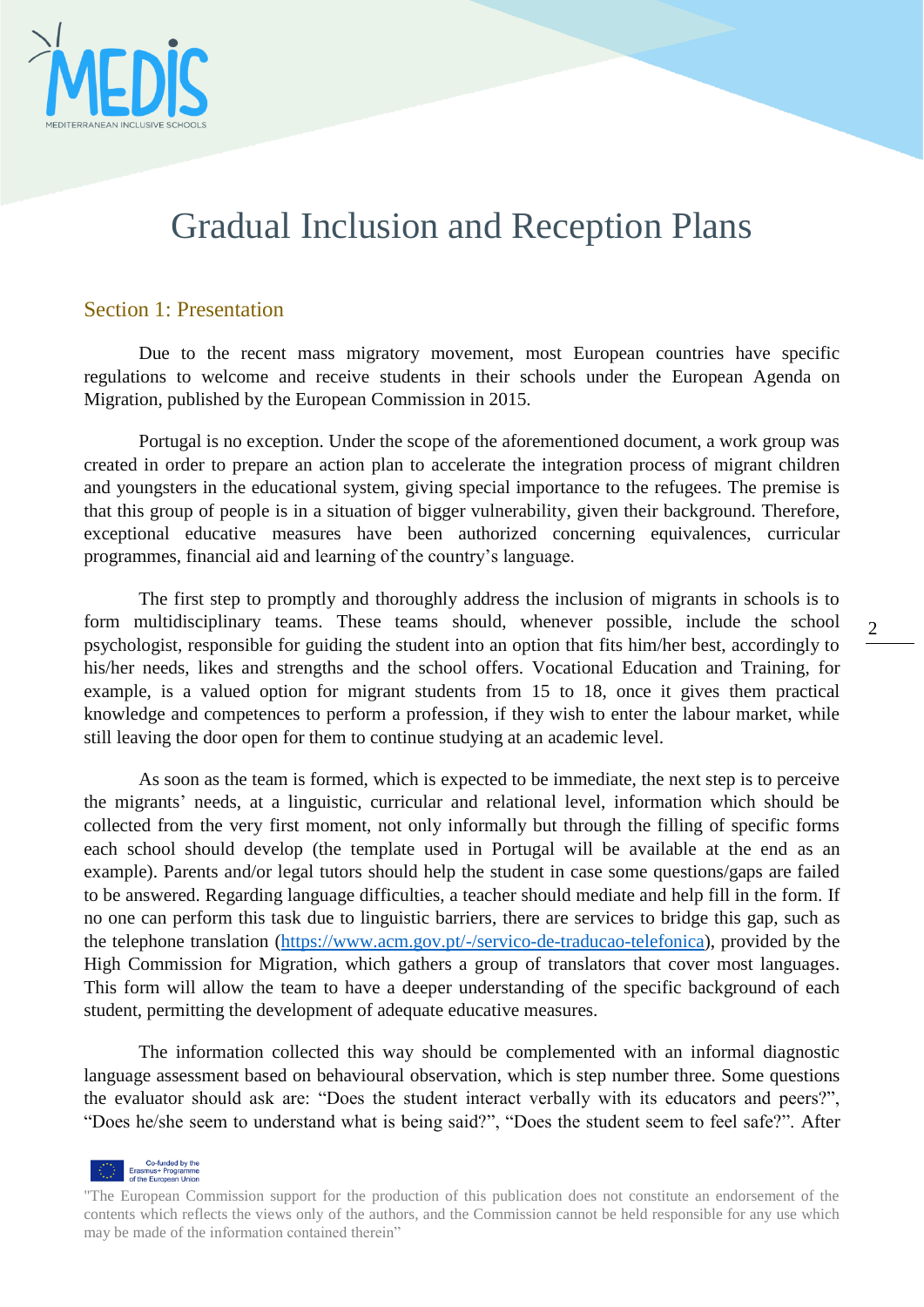

## Gradual Inclusion and Reception Plans

#### Section 1: Presentation

Due to the recent mass migratory movement, most European countries have specific regulations to welcome and receive students in their schools under the European Agenda on Migration, published by the European Commission in 2015.

Portugal is no exception. Under the scope of the aforementioned document, a work group was created in order to prepare an action plan to accelerate the integration process of migrant children and youngsters in the educational system, giving special importance to the refugees. The premise is that this group of people is in a situation of bigger vulnerability, given their background. Therefore, exceptional educative measures have been authorized concerning equivalences, curricular programmes, financial aid and learning of the country's language.

The first step to promptly and thoroughly address the inclusion of migrants in schools is to form multidisciplinary teams. These teams should, whenever possible, include the school psychologist, responsible for guiding the student into an option that fits him/her best, accordingly to his/her needs, likes and strengths and the school offers. Vocational Education and Training, for example, is a valued option for migrant students from 15 to 18, once it gives them practical knowledge and competences to perform a profession, if they wish to enter the labour market, while still leaving the door open for them to continue studying at an academic level.

As soon as the team is formed, which is expected to be immediate, the next step is to perceive the migrants' needs, at a linguistic, curricular and relational level, information which should be collected from the very first moment, not only informally but through the filling of specific forms each school should develop (the template used in Portugal will be available at the end as an example). Parents and/or legal tutors should help the student in case some questions/gaps are failed to be answered. Regarding language difficulties, a teacher should mediate and help fill in the form. If no one can perform this task due to linguistic barriers, there are services to bridge this gap, such as the telephone translation [\(https://www.acm.gov.pt/-/servico-de-traducao-telefonica\)](https://www.acm.gov.pt/-/servico-de-traducao-telefonica), provided by the High Commission for Migration, which gathers a group of translators that cover most languages. This form will allow the team to have a deeper understanding of the specific background of each student, permitting the development of adequate educative measures.

The information collected this way should be complemented with an informal diagnostic language assessment based on behavioural observation, which is step number three. Some questions the evaluator should ask are: "Does the student interact verbally with its educators and peers?", "Does he/she seem to understand what is being said?", "Does the student seem to feel safe?". After



<sup>&</sup>quot;The European Commission support for the production of this publication does not constitute an endorsement of the contents which reflects the views only of the authors, and the Commission cannot be held responsible for any use which may be made of the information contained therein"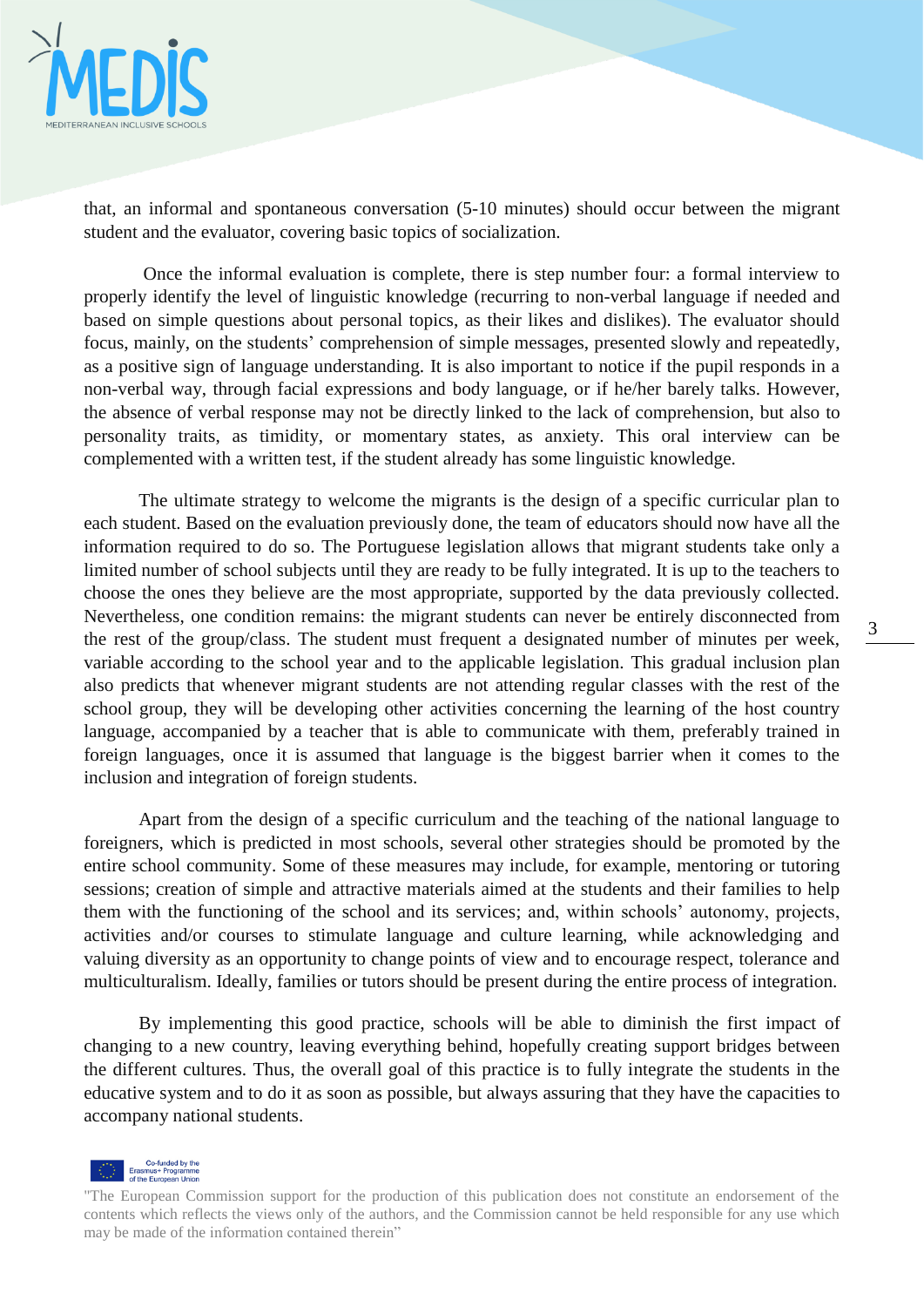

that, an informal and spontaneous conversation (5-10 minutes) should occur between the migrant student and the evaluator, covering basic topics of socialization.

Once the informal evaluation is complete, there is step number four: a formal interview to properly identify the level of linguistic knowledge (recurring to non-verbal language if needed and based on simple questions about personal topics, as their likes and dislikes). The evaluator should focus, mainly, on the students' comprehension of simple messages, presented slowly and repeatedly, as a positive sign of language understanding. It is also important to notice if the pupil responds in a non-verbal way, through facial expressions and body language, or if he/her barely talks. However, the absence of verbal response may not be directly linked to the lack of comprehension, but also to personality traits, as timidity, or momentary states, as anxiety. This oral interview can be complemented with a written test, if the student already has some linguistic knowledge.

The ultimate strategy to welcome the migrants is the design of a specific curricular plan to each student. Based on the evaluation previously done, the team of educators should now have all the information required to do so. The Portuguese legislation allows that migrant students take only a limited number of school subjects until they are ready to be fully integrated. It is up to the teachers to choose the ones they believe are the most appropriate, supported by the data previously collected. Nevertheless, one condition remains: the migrant students can never be entirely disconnected from the rest of the group/class. The student must frequent a designated number of minutes per week, variable according to the school year and to the applicable legislation. This gradual inclusion plan also predicts that whenever migrant students are not attending regular classes with the rest of the school group, they will be developing other activities concerning the learning of the host country language, accompanied by a teacher that is able to communicate with them, preferably trained in foreign languages, once it is assumed that language is the biggest barrier when it comes to the inclusion and integration of foreign students.

Apart from the design of a specific curriculum and the teaching of the national language to foreigners, which is predicted in most schools, several other strategies should be promoted by the entire school community. Some of these measures may include, for example, mentoring or tutoring sessions; creation of simple and attractive materials aimed at the students and their families to help them with the functioning of the school and its services; and, within schools' autonomy, projects, activities and/or courses to stimulate language and culture learning, while acknowledging and valuing diversity as an opportunity to change points of view and to encourage respect, tolerance and multiculturalism. Ideally, families or tutors should be present during the entire process of integration.

By implementing this good practice, schools will be able to diminish the first impact of changing to a new country, leaving everything behind, hopefully creating support bridges between the different cultures. Thus, the overall goal of this practice is to fully integrate the students in the educative system and to do it as soon as possible, but always assuring that they have the capacities to accompany national students.



<sup>&</sup>quot;The European Commission support for the production of this publication does not constitute an endorsement of the contents which reflects the views only of the authors, and the Commission cannot be held responsible for any use which may be made of the information contained therein"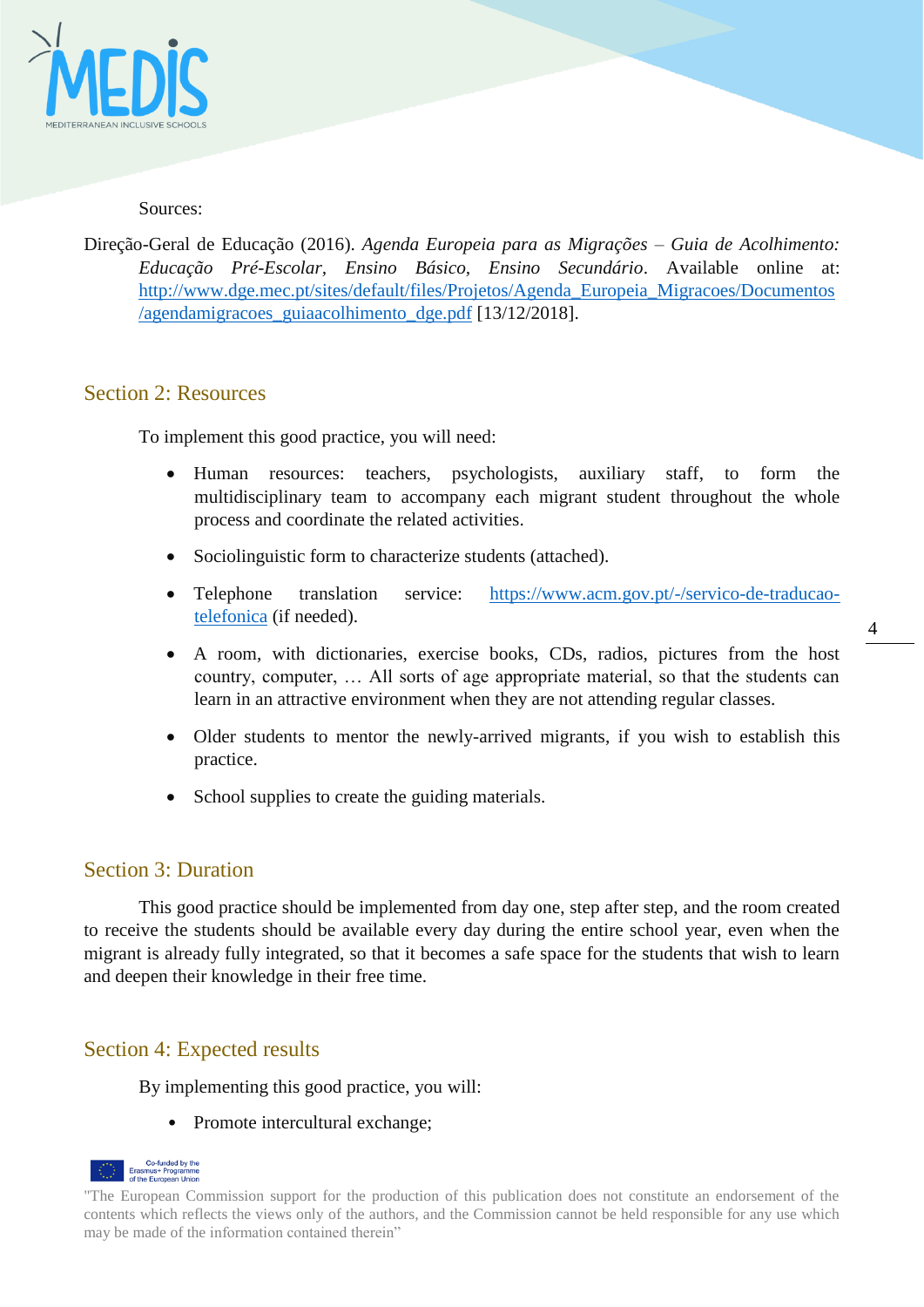

#### Sources:

Direção-Geral de Educação (2016). *Agenda Europeia para as Migrações – Guia de Acolhimento: Educação Pré-Escolar, Ensino Básico, Ensino Secundário*. Available online at: [http://www.dge.mec.pt/sites/default/files/Projetos/Agenda\\_Europeia\\_Migracoes/Documentos](http://www.dge.mec.pt/sites/default/files/Projetos/Agenda_Europeia_Migracoes/Documentos/agendamigracoes_guiaacolhimento_dge.pdf) [/agendamigracoes\\_guiaacolhimento\\_dge.pdf](http://www.dge.mec.pt/sites/default/files/Projetos/Agenda_Europeia_Migracoes/Documentos/agendamigracoes_guiaacolhimento_dge.pdf) [13/12/2018].

### Section 2: Resources

To implement this good practice, you will need:

- Human resources: teachers, psychologists, auxiliary staff, to form the multidisciplinary team to accompany each migrant student throughout the whole process and coordinate the related activities.
- Sociolinguistic form to characterize students (attached).
- Telephone translation service: [https://www.acm.gov.pt/-/servico-de-traducao](https://www.acm.gov.pt/-/servico-de-traducao-telefonica)[telefonica](https://www.acm.gov.pt/-/servico-de-traducao-telefonica) (if needed).

4

- A room, with dictionaries, exercise books, CDs, radios, pictures from the host country, computer, … All sorts of age appropriate material, so that the students can learn in an attractive environment when they are not attending regular classes.
- Older students to mentor the newly-arrived migrants, if you wish to establish this practice.
- School supplies to create the guiding materials.

#### Section 3: Duration

This good practice should be implemented from day one, step after step, and the room created to receive the students should be available every day during the entire school year, even when the migrant is already fully integrated, so that it becomes a safe space for the students that wish to learn and deepen their knowledge in their free time.

## Section 4: Expected results

By implementing this good practice, you will:

• Promote intercultural exchange;



<sup>&</sup>quot;The European Commission support for the production of this publication does not constitute an endorsement of the contents which reflects the views only of the authors, and the Commission cannot be held responsible for any use which may be made of the information contained therein"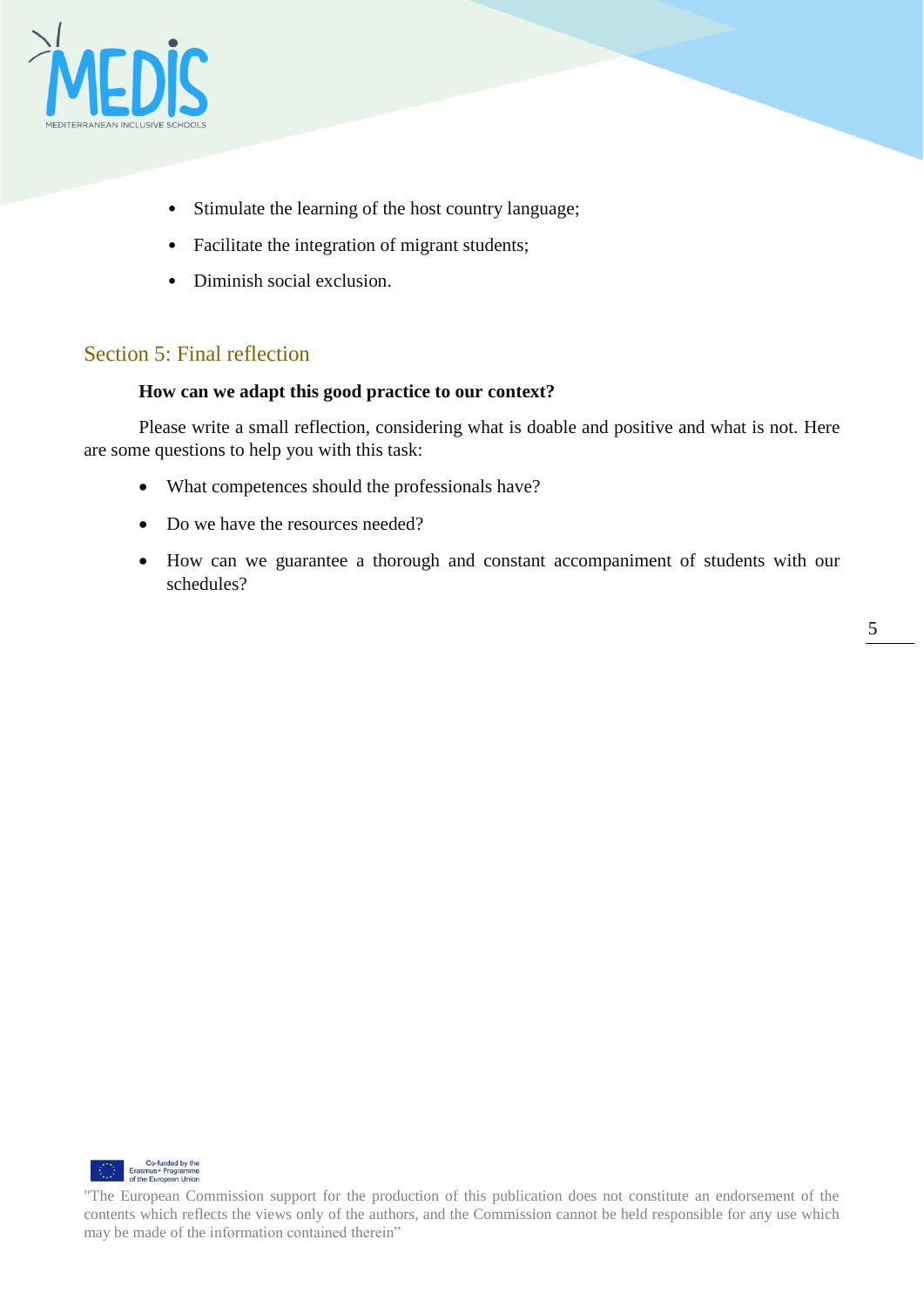

- Stimulate the learning of the host country language;
- Facilitate the integration of migrant students;
- Diminish social exclusion.

## Section 5: Final reflection

#### **How can we adapt this good practice to our context?**

Please write a small reflection, considering what is doable and positive and what is not. Here are some questions to help you with this task:

- What competences should the professionals have?
- Do we have the resources needed?
- How can we guarantee a thorough and constant accompaniment of students with our schedules?



<sup>&</sup>quot;The European Commission support for the production of this publication does not constitute an endorsement of the contents which reflects the views only of the authors, and the Commission cannot be held responsible for any use which may be made of the information contained therein"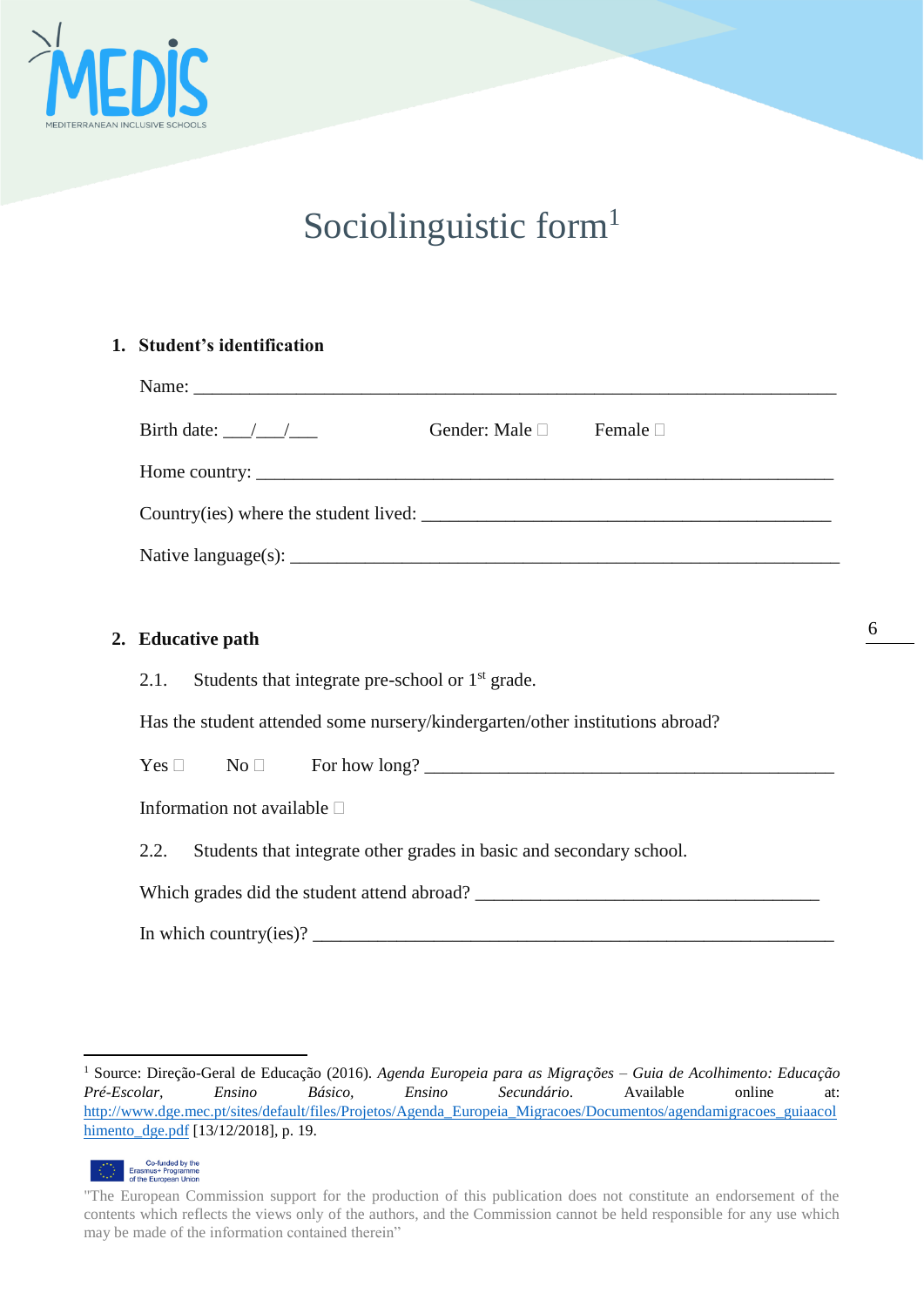

## Sociolinguistic form<sup>1</sup>

#### **1. Student's identification**

| Birth date: $\frac{\sqrt{1-\sqrt{1-\frac{1}{2}}}$<br>Gender: Male □ Female □  |
|-------------------------------------------------------------------------------|
|                                                                               |
|                                                                               |
|                                                                               |
|                                                                               |
| 2. Educative path                                                             |
| Students that integrate pre-school or 1 <sup>st</sup> grade.<br>2.1.          |
| Has the student attended some nursery/kindergarten/other institutions abroad? |
| $Yes \Box \qquad No \Box \qquad For how long?$                                |
| Information not available $\square$                                           |
| Students that integrate other grades in basic and secondary school.<br>2.2.   |
|                                                                               |
|                                                                               |

<sup>1</sup> Source: Direção-Geral de Educação (2016). *Agenda Europeia para as Migrações – Guia de Acolhimento: Educação Pré-Escolar, Ensino Básico, Ensino Secundário*. Available online at: [http://www.dge.mec.pt/sites/default/files/Projetos/Agenda\\_Europeia\\_Migracoes/Documentos/agendamigracoes\\_guiaacol](http://www.dge.mec.pt/sites/default/files/Projetos/Agenda_Europeia_Migracoes/Documentos/agendamigracoes_guiaacolhimento_dge.pdf) [himento\\_dge.pdf](http://www.dge.mec.pt/sites/default/files/Projetos/Agenda_Europeia_Migracoes/Documentos/agendamigracoes_guiaacolhimento_dge.pdf) [13/12/2018], p. 19.



<u>.</u>

<sup>&</sup>quot;The European Commission support for the production of this publication does not constitute an endorsement of the contents which reflects the views only of the authors, and the Commission cannot be held responsible for any use which may be made of the information contained therein"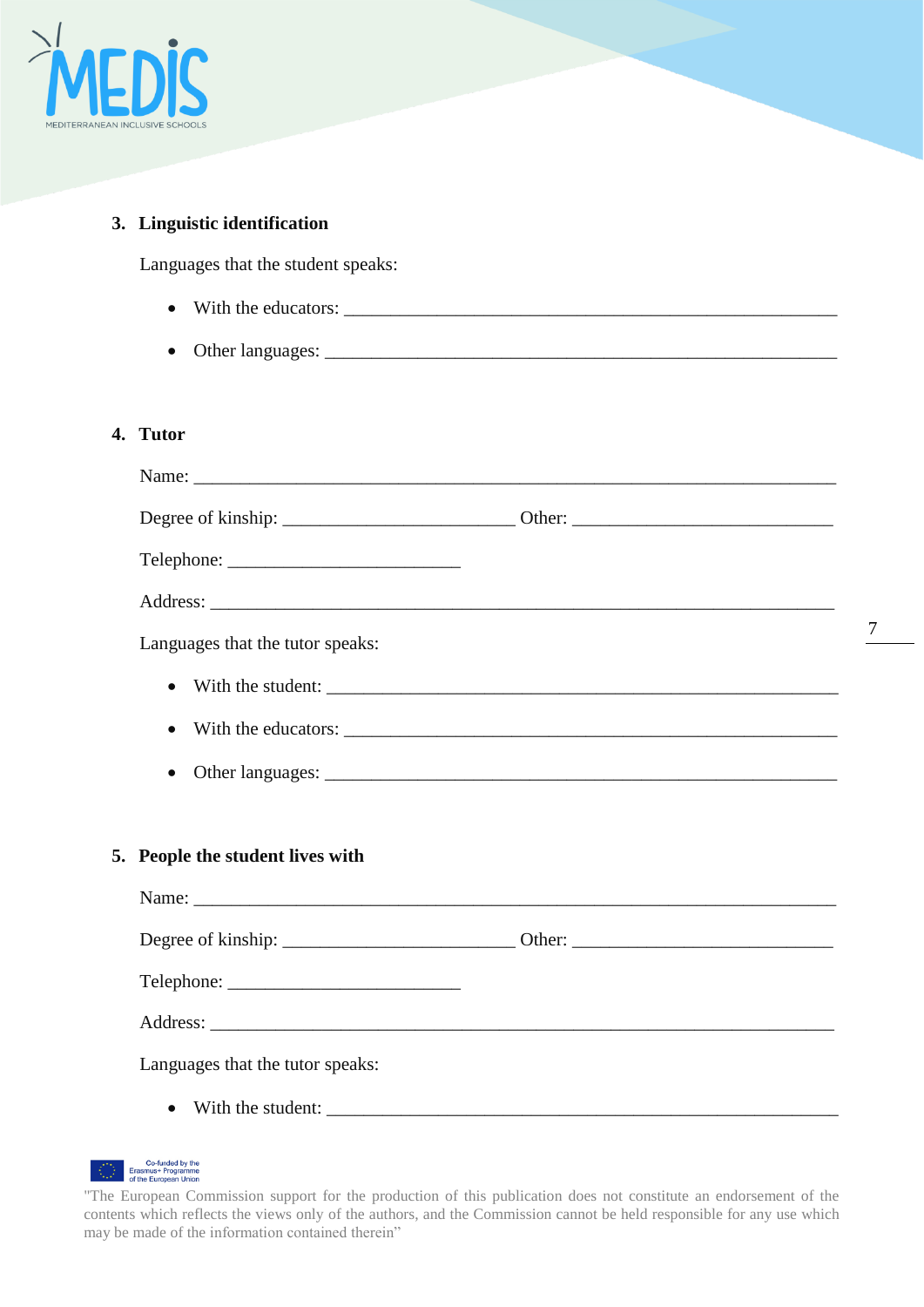

## **3. Linguistic identification**

Languages that the student speaks:

- With the educators: \_\_\_\_\_\_\_\_\_\_\_\_\_\_\_\_\_\_\_\_\_\_\_\_\_\_\_\_\_\_\_\_\_\_\_\_\_\_\_\_\_\_\_\_\_\_\_\_\_\_\_\_\_
- Other languages: \_\_\_\_\_\_\_\_\_\_\_\_\_\_\_\_\_\_\_\_\_\_\_\_\_\_\_\_\_\_\_\_\_\_\_\_\_\_\_\_\_\_\_\_\_\_\_\_\_\_\_\_\_\_\_

## **4. Tutor**

| Languages that the tutor speaks: |  |  |  |
|----------------------------------|--|--|--|
|                                  |  |  |  |
|                                  |  |  |  |
|                                  |  |  |  |

#### **5. People the student lives with**

| Languages that the tutor speaks: |  |  |  |  |
|----------------------------------|--|--|--|--|
| $\bullet$                        |  |  |  |  |



<sup>&</sup>quot;The European Commission support for the production of this publication does not constitute an endorsement of the contents which reflects the views only of the authors, and the Commission cannot be held responsible for any use which may be made of the information contained therein"